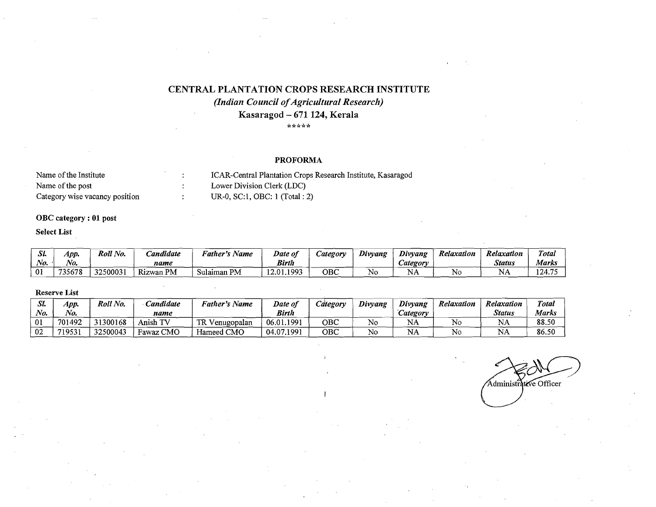# CENTRAL PLANTATION CROPS RESEARCH INSTITUTE

# *(Indian Council of Agricultural Research)* Kasaragod - 671 124, Kerala **\*\*\*\*\***

#### PROFORMA

| Name of the Institute          | ICAR-Central Plantation Crops Research Institute, Kasaragod |
|--------------------------------|-------------------------------------------------------------|
| Name of the post               | Lower Division Clerk (LDC)                                  |
| Category wise vacancy position | UR-0, SC:1, OBC: 1 (Total : 2)                              |

### OBC category: 01 post

### Select List

| n.<br>يتردر | App.   | Roll No. | Candidate | <i>Father's</i><br>Name | Date of       | <i>category</i> | Divyang | Divyang         | Relaxation | Relaxation  | <b>Total</b> |
|-------------|--------|----------|-----------|-------------------------|---------------|-----------------|---------|-----------------|------------|-------------|--------------|
| No.         | No.    |          | name      |                         | <b>Birth</b>  |                 |         | <i>category</i> |            | Status      | Marks        |
| 01          | 735678 | 32500031 | Rizwan PM | Sulaiman PM             | 1993<br>12.01 | овс             | Νc      | IN H            | <b>No</b>  | N١<br>1 Y.O | 124.75       |

# Reserve List

| 437<br>ياد | App.    | Roll No. | Candidate                           | Father's Name        | Date of    | Category | Divyang | Divyang         | Relaxation | Relaxation | Total |
|------------|---------|----------|-------------------------------------|----------------------|------------|----------|---------|-----------------|------------|------------|-------|
| No.        | $N_{0}$ |          | name                                |                      | Birth      |          |         | <i>Lategory</i> |            | Status     | Marks |
| 01         | 701492  | 31300168 | $\lambda$ TV $^{\prime}$<br>Anish T | TR V<br>V enugopalan | 06.01.1991 | овс      | No      | NA              | No         | <b>NA</b>  | 88.50 |
| 02         | 71953   | 32500043 | Fawaz CMO                           | Hameed CMO           | 04.07.1991 | OBC      | No      | NA              | N٥         | NA         | 86.50 |

Administrative Officer